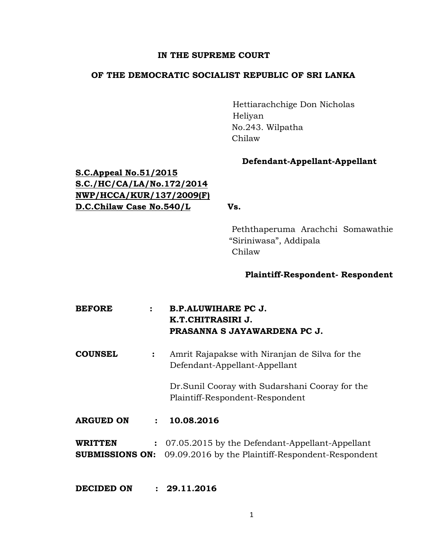## **IN THE SUPREME COURT**

# **OF THE DEMOCRATIC SOCIALIST REPUBLIC OF SRI LANKA**

Hettiarachchige Don Nicholas Heliyan No.243. Wilpatha Chilaw

# **Defendant-Appellant-Appellant**

# **S.C.Appeal No.51/2015 S.C./HC/CA/LA/No.172/2014 NWP/HCCA/KUR/137/2009(F) D.C.Chilaw Case No.540/L Vs.**

 Peththaperuma Arachchi Somawathie "Siriniwasa", Addipala Chilaw

# **Plaintiff-Respondent- Respondent**

| <b>BEFORE</b> | <b>B.P.ALUWIHARE PC J.</b>   |
|---------------|------------------------------|
|               | K.T.CHITRASIRI J.            |
|               | PRASANNA S JAYAWARDENA PC J. |

**COUNSEL :** Amrit Rajapakse with Niranjan de Silva for the Defendant-Appellant-Appellant

> Dr.Sunil Cooray with Sudarshani Cooray for the Plaintiff-Respondent-Respondent

- **ARGUED ON : 10.08.2016**
- **WRITTEN :** 07.05.2015 by the Defendant-Appellant-Appellant **SUBMISSIONS ON:** 09.09.2016 by the Plaintiff-Respondent-Respondent

**DECIDED ON : 29.11.2016**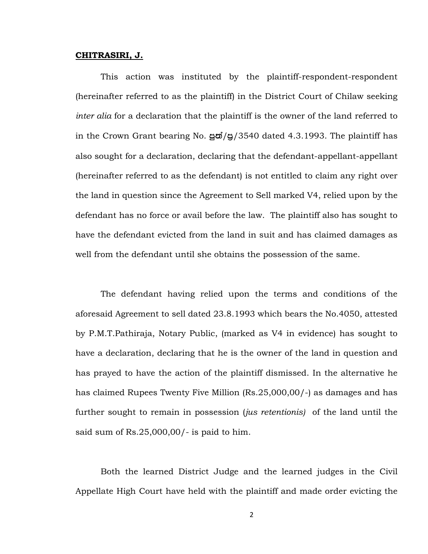#### **CHITRASIRI, J.**

This action was instituted by the plaintiff-respondent-respondent (hereinafter referred to as the plaintiff) in the District Court of Chilaw seeking *inter alia* for a declaration that the plaintiff is the owner of the land referred to in the Crown Grant bearing No.  $\frac{1}{90}/\frac{3540}{100}$  dated 4.3.1993. The plaintiff has also sought for a declaration, declaring that the defendant-appellant-appellant (hereinafter referred to as the defendant) is not entitled to claim any right over the land in question since the Agreement to Sell marked V4, relied upon by the defendant has no force or avail before the law. The plaintiff also has sought to have the defendant evicted from the land in suit and has claimed damages as well from the defendant until she obtains the possession of the same.

The defendant having relied upon the terms and conditions of the aforesaid Agreement to sell dated 23.8.1993 which bears the No.4050, attested by P.M.T.Pathiraja, Notary Public, (marked as V4 in evidence) has sought to have a declaration, declaring that he is the owner of the land in question and has prayed to have the action of the plaintiff dismissed. In the alternative he has claimed Rupees Twenty Five Million (Rs.25,000,00/-) as damages and has further sought to remain in possession (*jus retentionis)* of the land until the said sum of Rs.25,000,00/- is paid to him.

Both the learned District Judge and the learned judges in the Civil Appellate High Court have held with the plaintiff and made order evicting the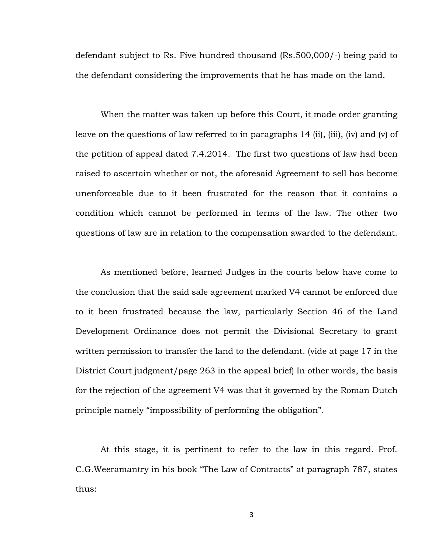defendant subject to Rs. Five hundred thousand (Rs.500,000/-) being paid to the defendant considering the improvements that he has made on the land.

When the matter was taken up before this Court, it made order granting leave on the questions of law referred to in paragraphs 14 (ii), (iii), (iv) and (v) of the petition of appeal dated 7.4.2014. The first two questions of law had been raised to ascertain whether or not, the aforesaid Agreement to sell has become unenforceable due to it been frustrated for the reason that it contains a condition which cannot be performed in terms of the law. The other two questions of law are in relation to the compensation awarded to the defendant.

As mentioned before, learned Judges in the courts below have come to the conclusion that the said sale agreement marked V4 cannot be enforced due to it been frustrated because the law, particularly Section 46 of the Land Development Ordinance does not permit the Divisional Secretary to grant written permission to transfer the land to the defendant. (vide at page 17 in the District Court judgment/page 263 in the appeal brief) In other words, the basis for the rejection of the agreement V4 was that it governed by the Roman Dutch principle namely "impossibility of performing the obligation".

At this stage, it is pertinent to refer to the law in this regard. Prof. C.G.Weeramantry in his book "The Law of Contracts" at paragraph 787, states thus: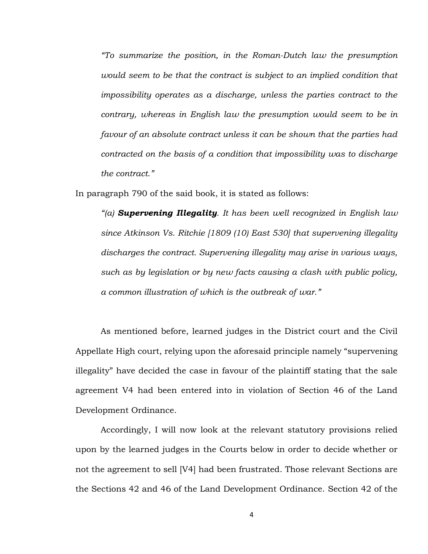*"To summarize the position, in the Roman-Dutch law the presumption would seem to be that the contract is subject to an implied condition that impossibility operates as a discharge, unless the parties contract to the contrary, whereas in English law the presumption would seem to be in favour of an absolute contract unless it can be shown that the parties had contracted on the basis of a condition that impossibility was to discharge the contract."* 

In paragraph 790 of the said book, it is stated as follows:

*"(a) Supervening Illegality. It has been well recognized in English law since Atkinson Vs. Ritchie [1809 (10) East 530] that supervening illegality discharges the contract. Supervening illegality may arise in various ways, such as by legislation or by new facts causing a clash with public policy, a common illustration of which is the outbreak of war."*

As mentioned before, learned judges in the District court and the Civil Appellate High court, relying upon the aforesaid principle namely "supervening illegality" have decided the case in favour of the plaintiff stating that the sale agreement V4 had been entered into in violation of Section 46 of the Land Development Ordinance.

Accordingly, I will now look at the relevant statutory provisions relied upon by the learned judges in the Courts below in order to decide whether or not the agreement to sell [V4] had been frustrated. Those relevant Sections are the Sections 42 and 46 of the Land Development Ordinance. Section 42 of the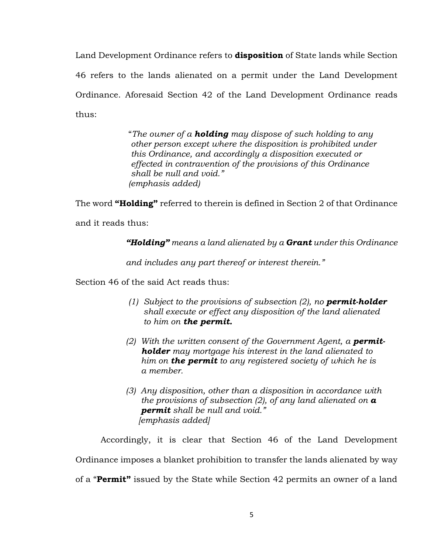Land Development Ordinance refers to **disposition** of State lands while Section 46 refers to the lands alienated on a permit under the Land Development Ordinance. Aforesaid Section 42 of the Land Development Ordinance reads thus:

> "*The owner of a holding may dispose of such holding to any other person except where the disposition is prohibited under this Ordinance, and accordingly a disposition executed or effected in contravention of the provisions of this Ordinance shall be null and void." (emphasis added)*

The word **"Holding"** referred to therein is defined in Section 2 of that Ordinance

and it reads thus:

*"Holding" means a land alienated by a Grant under this Ordinance* 

*and includes any part thereof or interest therein."* 

Section 46 of the said Act reads thus:

- *(1) Subject to the provisions of subsection (2), no permit-holder shall execute or effect any disposition of the land alienated to him on the permit.*
- *(2) With the written consent of the Government Agent, a permit holder may mortgage his interest in the land alienated to him on the permit to any registered society of which he is a member.*
- *(3) Any disposition, other than a disposition in accordance with the provisions of subsection (2), of any land alienated on a permit shall be null and void." [emphasis added]*

Accordingly, it is clear that Section 46 of the Land Development Ordinance imposes a blanket prohibition to transfer the lands alienated by way of a "**Permit"** issued by the State while Section 42 permits an owner of a land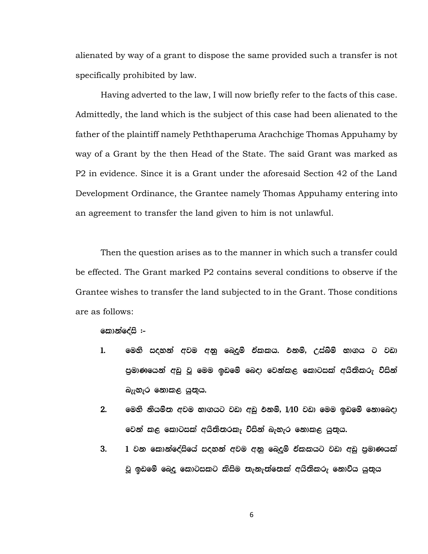alienated by way of a grant to dispose the same provided such a transfer is not specifically prohibited by law.

Having adverted to the law, I will now briefly refer to the facts of this case. Admittedly, the land which is the subject of this case had been alienated to the father of the plaintiff namely Peththaperuma Arachchige Thomas Appuhamy by way of a Grant by the then Head of the State. The said Grant was marked as P2 in evidence. Since it is a Grant under the aforesaid Section 42 of the Land Development Ordinance, the Grantee namely Thomas Appuhamy entering into an agreement to transfer the land given to him is not unlawful.

Then the question arises as to the manner in which such a transfer could be effected. The Grant marked P2 contains several conditions to observe if the Grantee wishes to transfer the land subjected to in the Grant. Those conditions are as follows:

**කොන්දේසි :**–

- 1. මෙහි සදහන් අවම අනු ඛෙදුම් ඒකකය. එනම්, උස්බිම් භාගය ට වඩා පුමාණයෙන් අඩු වූ මෙම ඉඩමේ බෙදා වෙන්කළ කොටසක් අයිතිකරු විසින් බැැහැර නොකළ යුතුය.
- $2.$  මෙහි නියම්ත අවම භාගයට වඩා අඩු එනම්,  $1/10$  වඩා මෙම ඉඩමේ නොබෙදා වෙන් කළ කොටසක් අයිතිතරකැ විසින් බැහැර නොකළ යුතුය.
- 3. 1 වන කොන්දේසියේ සදහන් අවම අනු බෙදුම් ඒකකයට වඩා අඩු පුමාණයක් වූ ඉඩමේ බෙදු කොටසකට කිසිම තැනැත්තෙක් අයිතිකරු නොව්ය යුතුය

6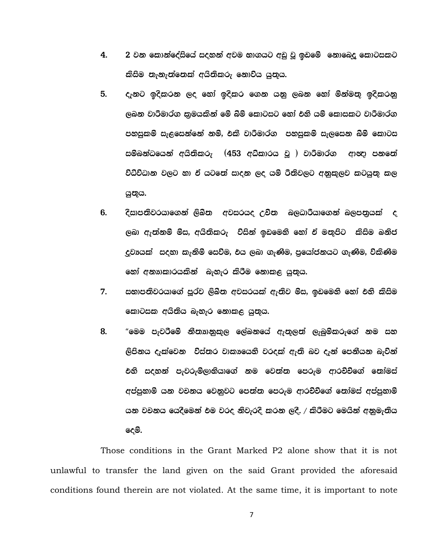- 4. 2 වන කොන්දේසියේ සදහන් අවම භාගයට අඩු වු ඉඩමේ නොබෙදු කොටසකට කිසිම නැනැත්තෙක් අයිතිකරු නොව්ය යුතුය.
- 5. ඇනට ඉදිකරන ලද හෝ ඉදිකර ගෙන යනු ලබන හෝ මින්මතු ඉදිකරනු ලබන වාරීමාර්ග කුමයකින් මේ බිම් කොටසට හෝ එහි යම් කොසකට වාරීමාර්ග පහසුකම් සැළසෙන්නේ නම්, එකී වාරිමාර්ග පහසුකම් සැලසෙන බිම් කොටස සම්බන්ධයෙන් අයිතිකරු  $(453$  අධ්කාරය වූ ) වාරීමාර්ග ආඥා පනතේ විධිවිධාන වලට හා ඒ යටතේ සාදන ලද යම් රීතිවලට අනුකූලව කටයුතු කල යුතුය.
- 6' osidm;sjrhdf.ka ,sLs; wjirho Wps; n,Odrshdf.ka n,m;%hla o ලබා ඇත්නම් මිස, අයිතිකරු විසින් ඉඩමෙහි හෝ ඒ මතුපිට කිසිම ඛනිජ දුවාගක් සදහා කැනිම් සෙව්ම, එය ලබා ගැණිම, පුයෝජනයට ගැණිම, ව්කිණිම හෝ අනාාකාරයකින් බැහැර කිරීම නොකළ යුතුය.
- 7. සභාපතිවරයාගේ පූර්ව ලිඛිත අවසරයක් ඇතිව මිස, ඉඩමෙනි හෝ එනි කිසිම කොටසක අයිනිය බැහැර නොකළ යුතුය.
- 8. "මෙම පැවරීමේ නීතාානුකුල ලේඛනයේ ඇතුලත් ලැබුම්කරුගේ නම සහ ලිපිනය දැක්වෙන විස්තර වාකායෙහි වරදක් ඇති බව දැන් පෙනීයන බැවින් එහි සදහන් පැවරුම්ලාභියාගේ නම වෙත්ත පෙරුම ආරච්චිගේ තෝමස් අප්පුහාමි යන වචනය වෙනුවට පෙන්න පෙරුම ආරච්චිගේ තෝමස් අප්පුහාමි යන වචනය යෙදීමෙන් එම වරද නිවැරදි කරන ලදී. / කිරීමට මෙයින් අනුමැතිය දෙම්.

Those conditions in the Grant Marked P2 alone show that it is not unlawful to transfer the land given on the said Grant provided the aforesaid conditions found therein are not violated. At the same time, it is important to note

7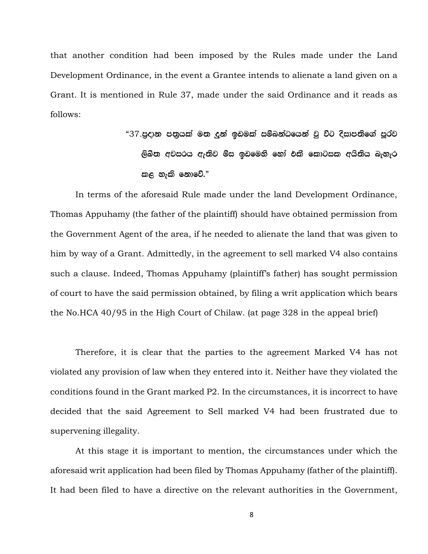that another condition had been imposed by the Rules made under the Land Development Ordinance, in the event a Grantee intends to alienate a land given on a Grant. It is mentioned in Rule 37, made under the said Ordinance and it reads as follows:

> "37.පුදාන පතුයක් මත දුන් ඉඩමක් සම්බන්ධයෙන් වු විට දිසාපතිගේ පූර්ව ලිඛින අවසරය ඇතිව මිස ඉඩමෙහි හෝ එකී කොටසක අයිනිය බැහැර කළ හැකි නොවේ. $"$

In terms of the aforesaid Rule made under the land Development Ordinance, Thomas Appuhamy (the father of the plaintiff) should have obtained permission from the Government Agent of the area, if he needed to alienate the land that was given to him by way of a Grant. Admittedly, in the agreement to sell marked V4 also contains such a clause. Indeed, Thomas Appuhamy (plaintiff's father) has sought permission of court to have the said permission obtained, by filing a writ application which bears the No.HCA 40/95 in the High Court of Chilaw. (at page 328 in the appeal brief)

Therefore, it is clear that the parties to the agreement Marked V4 has not violated any provision of law when they entered into it. Neither have they violated the conditions found in the Grant marked P2. In the circumstances, it is incorrect to have decided that the said Agreement to Sell marked V4 had been frustrated due to supervening illegality.

At this stage it is important to mention, the circumstances under which the aforesaid writ application had been filed by Thomas Appuhamy (father of the plaintiff). It had been filed to have a directive on the relevant authorities in the Government,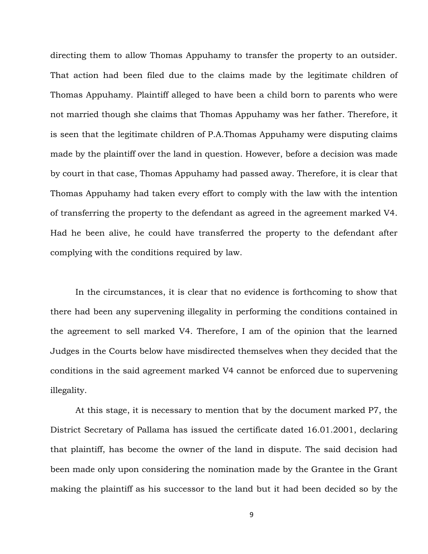directing them to allow Thomas Appuhamy to transfer the property to an outsider. That action had been filed due to the claims made by the legitimate children of Thomas Appuhamy. Plaintiff alleged to have been a child born to parents who were not married though she claims that Thomas Appuhamy was her father. Therefore, it is seen that the legitimate children of P.A.Thomas Appuhamy were disputing claims made by the plaintiff over the land in question. However, before a decision was made by court in that case, Thomas Appuhamy had passed away. Therefore, it is clear that Thomas Appuhamy had taken every effort to comply with the law with the intention of transferring the property to the defendant as agreed in the agreement marked V4. Had he been alive, he could have transferred the property to the defendant after complying with the conditions required by law.

In the circumstances, it is clear that no evidence is forthcoming to show that there had been any supervening illegality in performing the conditions contained in the agreement to sell marked V4. Therefore, I am of the opinion that the learned Judges in the Courts below have misdirected themselves when they decided that the conditions in the said agreement marked V4 cannot be enforced due to supervening illegality.

At this stage, it is necessary to mention that by the document marked P7, the District Secretary of Pallama has issued the certificate dated 16.01.2001, declaring that plaintiff, has become the owner of the land in dispute. The said decision had been made only upon considering the nomination made by the Grantee in the Grant making the plaintiff as his successor to the land but it had been decided so by the

9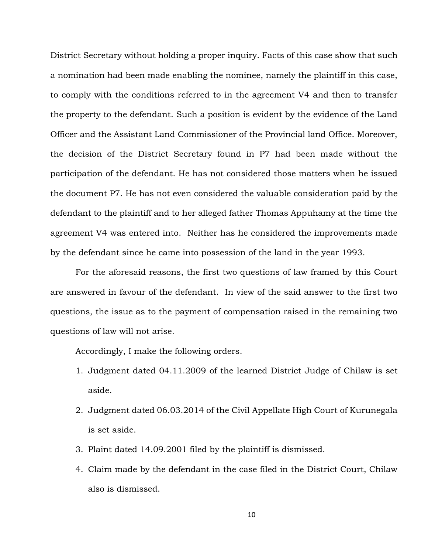District Secretary without holding a proper inquiry. Facts of this case show that such a nomination had been made enabling the nominee, namely the plaintiff in this case, to comply with the conditions referred to in the agreement V4 and then to transfer the property to the defendant. Such a position is evident by the evidence of the Land Officer and the Assistant Land Commissioner of the Provincial land Office. Moreover, the decision of the District Secretary found in P7 had been made without the participation of the defendant. He has not considered those matters when he issued the document P7. He has not even considered the valuable consideration paid by the defendant to the plaintiff and to her alleged father Thomas Appuhamy at the time the agreement V4 was entered into. Neither has he considered the improvements made by the defendant since he came into possession of the land in the year 1993.

For the aforesaid reasons, the first two questions of law framed by this Court are answered in favour of the defendant. In view of the said answer to the first two questions, the issue as to the payment of compensation raised in the remaining two questions of law will not arise.

Accordingly, I make the following orders.

- 1. Judgment dated 04.11.2009 of the learned District Judge of Chilaw is set aside.
- 2. Judgment dated 06.03.2014 of the Civil Appellate High Court of Kurunegala is set aside.
- 3. Plaint dated 14.09.2001 filed by the plaintiff is dismissed.
- 4. Claim made by the defendant in the case filed in the District Court, Chilaw also is dismissed.